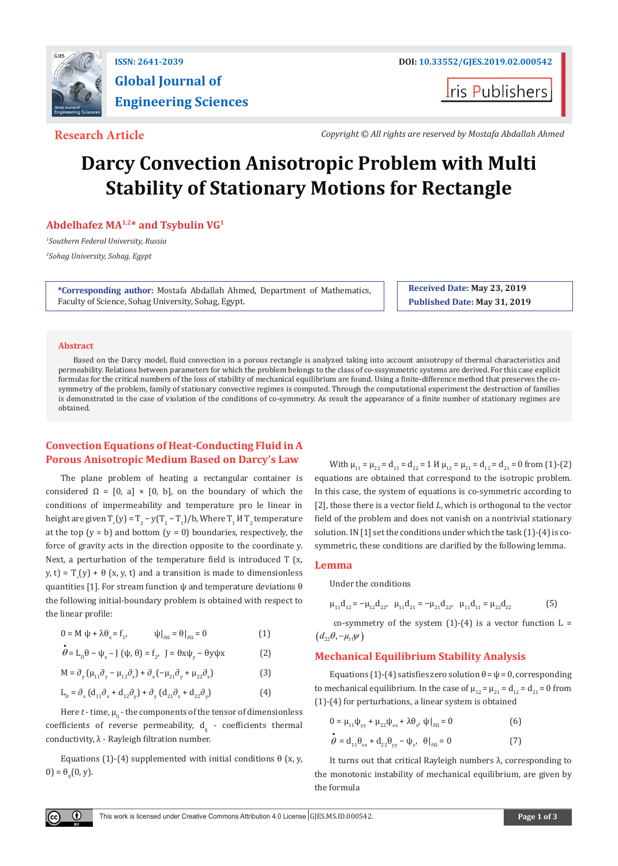

## **ISSN: 2641-2039 DOI: [10.33552/GJES.2019.02.000542](http://dx.doi.org/10.33552/GJES.2019.02.000542) Global Journal of Engineering Sciences**

**I**ris Publishers

**Research Article** *Copyright © All rights are reserved by Mostafa Abdallah Ahmed*

# **Darcy Convection Anisotropic Problem with Multi Stability of Stationary Motions for Rectangle**

#### **Abdelhafez MA1,2\* and Tsybulin VG1**

*1 Southern Federal University, Russia*

*2 Sohag University, Sohag, Egypt*

**\*Corresponding author:** Mostafa Abdallah Ahmed, Department of Mathematics, Faculty of Science, Sohag University, Sohag, Egypt.

**Received Date: May 23, 2019 Published Date: May 31, 2019**

#### **Abstract**

Based on the Darcy model, fluid convection in a porous rectangle is analyzed taking into account anisotropy of thermal characteristics and permeability. Relations between parameters for which the problem belongs to the class of co-sssymmetric systems are derived. For this case explicit formulas for the critical numbers of the loss of stability of mechanical equilibrium are found. Using a finite-difference method that preserves the cosymmetry of the problem, family of stationary convective regimes is computed. Through the computational experiment the destruction of families is demonstrated in the case of violation of the conditions of co-symmetry. As result the appearance of a finite number of stationary regimes are obtained.

### **Convection Equations of Heat-Conducting Fluid in A Porous Anisotropic Medium Based on Darcy's Law**

The plane problem of heating a rectangular container is considered  $\Omega = [0, a] \times [0, b]$ , on the boundary of which the conditions of impermeability and temperature pro le linear in height are given  $T_*(y) = T_2 - y(T_2 - T_1)/b$ , where  $T_1 M T_2$  temperature at the top  $(y = b)$  and bottom  $(y = 0)$  boundaries, respectively, the force of gravity acts in the direction opposite to the coordinate y. Next, a perturbation of the temperature field is introduced T (x,  $(y, t) = T_*(y) + \theta(x, y, t)$  and a transition is made to dimensionless quantities [1]. For stream function ψ and temperature deviations θ the following initial-boundary problem is obtained with respect to the linear profile:

$$
0 = M \psi + \lambda \theta_{x} = f_{1}, \qquad \psi|_{\partial \Omega} = \theta|_{\partial \Omega} = 0 \tag{1}
$$

$$
\dot{\theta} = \mathcal{L}_{D} \theta - \psi_{x} - J(\psi, \theta) = f_{2}, \quad J = \theta x \psi_{y} - \theta y \psi x
$$
 (2)

$$
M = \partial_y (\mu_{11} \partial_y - \mu_{12} \partial_x) + \partial_x (-\mu_{21} \partial_y + \mu_{22} \partial_x)
$$
 (3)

$$
L_{\rm p} = \partial_{\rm x} \left( d_{11} \partial_{\rm x} + d_{12} \partial_{\rm y} \right) + \partial_{\rm y} \left( d_{21} \partial_{\rm x} + d_{22} \partial_{\rm y} \right) \tag{4}
$$

Here  $t$  - time,  $\mu_{ii}$  - the components of the tensor of dimensionless coefficients of reverse permeability,  $d_{ii}$  - coefficients thermal conductivity, λ - Rayleigh filtration number.

Equations (1)-(4) supplemented with initial conditions θ (x, y,  $(0) = \theta_0(0, y).$ 

With  $\mu_{11} = \mu_{22} = d_{11} = d_{22} = 1$   $H \mu_{12} = \mu_{21} = d_{12} = d_{21} = 0$  from (1)-(2) equations are obtained that correspond to the isotropic problem. In this case, the system of equations is co-symmetric according to [2], those there is a vector field *L*, which is orthogonal to the vector field of the problem and does not vanish on a nontrivial stationary solution. IN [1] set the conditions under which the task (1)-(4) is cosymmetric, these conditions are clarified by the following lemma.

#### **Lemma**

Under the conditions

$$
\mu_{11}d_{12} = -\mu_{12}d_{22}, \quad \mu_{11}d_{21} = -\mu_{21}d_{22}, \quad \mu_{11}d_{11} = \mu_{22}d_{22}
$$
 (5)

co-symmetry of the system  $(1)-(4)$  is a vector function  $L =$  $(d_{22}\theta, -\mu_{11}\psi)$ 

#### **Mechanical Equilibrium Stability Analysis**

Equations (1)-(4) satisfies zero solution  $\theta = \psi = 0$ , corresponding to mechanical equilibrium. In the case of  $\mu_{12} = \mu_{21} = d_{12} = d_{21} = 0$  from (1)-(4) for perturbations, a linear system is obtained

$$
0 = \mu_{11}\psi_{yy} + \mu_{22}\psi_{xx} + \lambda\theta_{x'} \psi|_{\partial\Omega} = 0
$$
\n
$$
\dot{\theta} = d_{11}\theta_{xx} + d_{22}\theta_{yy} - \psi_{x'} \quad \theta|_{\partial\Omega} = 0
$$
\n(7)

It turns out that critical Rayleigh numbers λ, corresponding to the monotonic instability of mechanical equilibrium, are given by the formula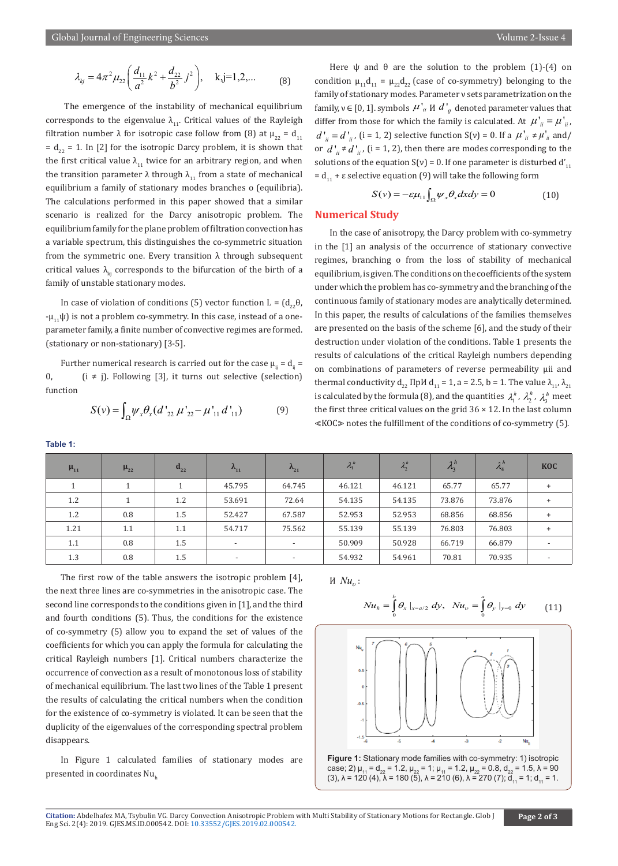$$
\lambda_{kj} = 4\pi^2 \mu_{22} \left( \frac{d_{11}}{a^2} k^2 + \frac{d_{22}}{b^2} j^2 \right), \quad k, j = 1, 2, \dots \tag{8}
$$

 The emergence of the instability of mechanical equilibrium corresponds to the eigenvalue  $\lambda_{11}$ . Critical values of the Rayleigh filtration number λ for isotropic case follow from (8) at  $\mu_{22} = d_{11}$  $= d_{22} = 1$ . In [2] for the isotropic Darcy problem, it is shown that the first critical value  $\lambda_{11}$  twice for an arbitrary region, and when the transition parameter λ through  $λ_{11}$  from a state of mechanical equilibrium a family of stationary modes branches o (equilibria). The calculations performed in this paper showed that a similar scenario is realized for the Darcy anisotropic problem. The equilibrium family for the plane problem of filtration convection has a variable spectrum, this distinguishes the co-symmetric situation from the symmetric one. Every transition  $\lambda$  through subsequent critical values  $\lambda_{ki}$  corresponds to the bifurcation of the birth of a family of unstable stationary modes.

In case of violation of conditions (5) vector function L =  $(d_{22}θ,$  $-\mu_{11}\psi$ ) is not a problem co-symmetry. In this case, instead of a oneparameter family, a finite number of convective regimes are formed. (stationary or non-stationary) [3-5].

Further numerical research is carried out for the case  $\mu_{ii} = d_{ii} =$ 0,  $(i \neq j)$ . Following [3], it turns out selective (selection) function

**Table 1:**

$$
S(v) = \int_{\Omega} \psi_x \theta_x (d'_{22} \mu'_{22} - \mu'_{11} d'_{11})
$$
 (9)

Here  $\psi$  and  $\theta$  are the solution to the problem (1)-(4) on condition  $\mu_{11}d_{11} = \mu_{22}d_{22}$  (case of co-symmetry) belonging to the family of stationary modes. Parameter ν sets parametrization on the family,  $v \in [0, 1]$ . symbols  $\mu'_{ii}$  *N*  $d'_{ij}$  denoted parameter values that differ from those for which the family is calculated. At  $\mu'_{ii} = \mu'_{ii}$ ,  $d'_{ii} = d'_{ii}$ , (i = 1, 2) selective function S(v) = 0. If a  $\mu'_{ii} \neq \mu'_{ii}$  and/ or  $d'_{ii} \neq d'_{ii}$ , (i = 1, 2), then there are modes corresponding to the solutions of the equation  $S(v) = 0$ . If one parameter is disturbed  $d'_{11}$ =  $d_{11}$  + ε selective equation (9) will take the following form

$$
S(v) = -\varepsilon \mu_{11} \int_{\Omega} \psi_x \theta_x dx dy = 0 \tag{10}
$$

#### **Numerical Study**

In the case of anisotropy, the Darcy problem with co-symmetry in the [1] an analysis of the occurrence of stationary convective regimes, branching o from the loss of stability of mechanical equilibrium, is given. The conditions on the coefficients of the system under which the problem has co-symmetry and the branching of the continuous family of stationary modes are analytically determined. In this paper, the results of calculations of the families themselves are presented on the basis of the scheme [6], and the study of their destruction under violation of the conditions. Table 1 presents the results of calculations of the critical Rayleigh numbers depending on combinations of parameters of reverse permeability µii and thermal conductivity  $d_{22}$  ΠpИ  $d_{11} = 1$ , a = 2.5, b = 1. The value  $\lambda_{11}$ ,  $\lambda_{21}$ is calculated by the formula (8), and the quantities  $\lambda_1^h$ ,  $\lambda_2^h$ ,  $\lambda_3^h$  meet the first three critical values on the grid  $36 \times 12$ . In the last column ⪡KOC⪢ notes the fulfillment of the conditions of co-symmetry (5).

| $\mu_{11}$ | $\mu_{22}$ | $\mathbf{d}_{22}$ | $\Lambda_{11}$           | $\Lambda_{21}$           | $\lambda_1^h$ | $\lambda_2^h$ | $\lambda_2^h$ | $\lambda_4^h$ | <b>KOC</b>               |
|------------|------------|-------------------|--------------------------|--------------------------|---------------|---------------|---------------|---------------|--------------------------|
|            |            |                   | 45.795                   | 64.745                   | 46.121        | 46.121        | 65.77         | 65.77         | $\ddot{}$                |
| 1.2        |            | 1.2               | 53.691                   | 72.64                    | 54.135        | 54.135        | 73.876        | 73.876        | $\ddot{}$                |
| $1.2\,$    | 0.8        | 1.5               | 52.427                   | 67.587                   | 52.953        | 52.953        | 68.856        | 68.856        | $+$                      |
| 1.21       | 1.1        | 1.1               | 54.717                   | 75.562                   | 55.139        | 55.139        | 76.803        | 76.803        | $\ddot{}$                |
| 1.1        | 0.8        | 1.5               | $\overline{\phantom{a}}$ | $\overline{\phantom{0}}$ | 50.909        | 50.928        | 66.719        | 66.879        | $\overline{\phantom{a}}$ |
| 1.3        | 0.8        | 1.5               | $\overline{\phantom{a}}$ | $\overline{\phantom{a}}$ | 54.932        | 54.961        | 70.81         | 70.935        | $\overline{\phantom{a}}$ |

The first row of the table answers the isotropic problem [4], the next three lines are co-symmetries in the anisotropic case. The second line corresponds to the conditions given in [1], and the third and fourth conditions (5). Thus, the conditions for the existence of co-symmetry (5) allow you to expand the set of values of the coefficients for which you can apply the formula for calculating the critical Rayleigh numbers [1]. Critical numbers characterize the occurrence of convection as a result of monotonous loss of stability of mechanical equilibrium. The last two lines of the Table 1 present the results of calculating the critical numbers when the condition for the existence of co-symmetry is violated. It can be seen that the duplicity of the eigenvalues of the corresponding spectral problem disappears.

In Figure 1 calculated families of stationary modes are presented in coordinates Nu

И  $Nu_{v}$ :

$$
Nu_h = \int_0^b \theta_x \mid_{x=a/2} dy, \quad Nu_v = \int_0^a \theta_y \mid_{y=0} dy \qquad (11)
$$